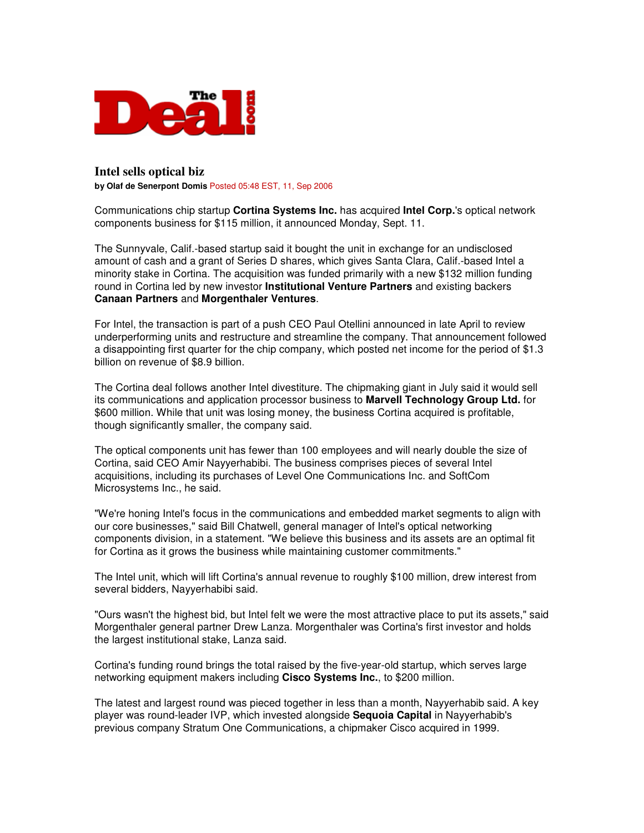

## **Intel sells optical biz**

**by Olaf de Senerpont Domis** Posted 05:48 EST, 11, Sep 2006

Communications chip startup **Cortina Systems Inc.** has acquired **Intel Corp.**'s optical network components business for \$115 million, it announced Monday, Sept. 11.

The Sunnyvale, Calif.-based startup said it bought the unit in exchange for an undisclosed amount of cash and a grant of Series D shares, which gives Santa Clara, Calif.-based Intel a minority stake in Cortina. The acquisition was funded primarily with a new \$132 million funding round in Cortina led by new investor **Institutional Venture Partners** and existing backers **Canaan Partners** and **Morgenthaler Ventures**.

For Intel, the transaction is part of a push CEO Paul Otellini announced in late April to review underperforming units and restructure and streamline the company. That announcement followed a disappointing first quarter for the chip company, which posted net income for the period of \$1.3 billion on revenue of \$8.9 billion.

The Cortina deal follows another Intel divestiture. The chipmaking giant in July said it would sell its communications and application processor business to **Marvell Technology Group Ltd.** for \$600 million. While that unit was losing money, the business Cortina acquired is profitable, though significantly smaller, the company said.

The optical components unit has fewer than 100 employees and will nearly double the size of Cortina, said CEO Amir Nayyerhabibi. The business comprises pieces of several Intel acquisitions, including its purchases of Level One Communications Inc. and SoftCom Microsystems Inc., he said.

"We're honing Intel's focus in the communications and embedded market segments to align with our core businesses," said Bill Chatwell, general manager of Intel's optical networking components division, in a statement. "We believe this business and its assets are an optimal fit for Cortina as it grows the business while maintaining customer commitments."

The Intel unit, which will lift Cortina's annual revenue to roughly \$100 million, drew interest from several bidders, Nayyerhabibi said.

"Ours wasn't the highest bid, but Intel felt we were the most attractive place to put its assets," said Morgenthaler general partner Drew Lanza. Morgenthaler was Cortina's first investor and holds the largest institutional stake, Lanza said.

Cortina's funding round brings the total raised by the five-year-old startup, which serves large networking equipment makers including **Cisco Systems Inc.**, to \$200 million.

The latest and largest round was pieced together in less than a month, Nayyerhabib said. A key player was round-leader IVP, which invested alongside **Sequoia Capital** in Nayyerhabib's previous company Stratum One Communications, a chipmaker Cisco acquired in 1999.